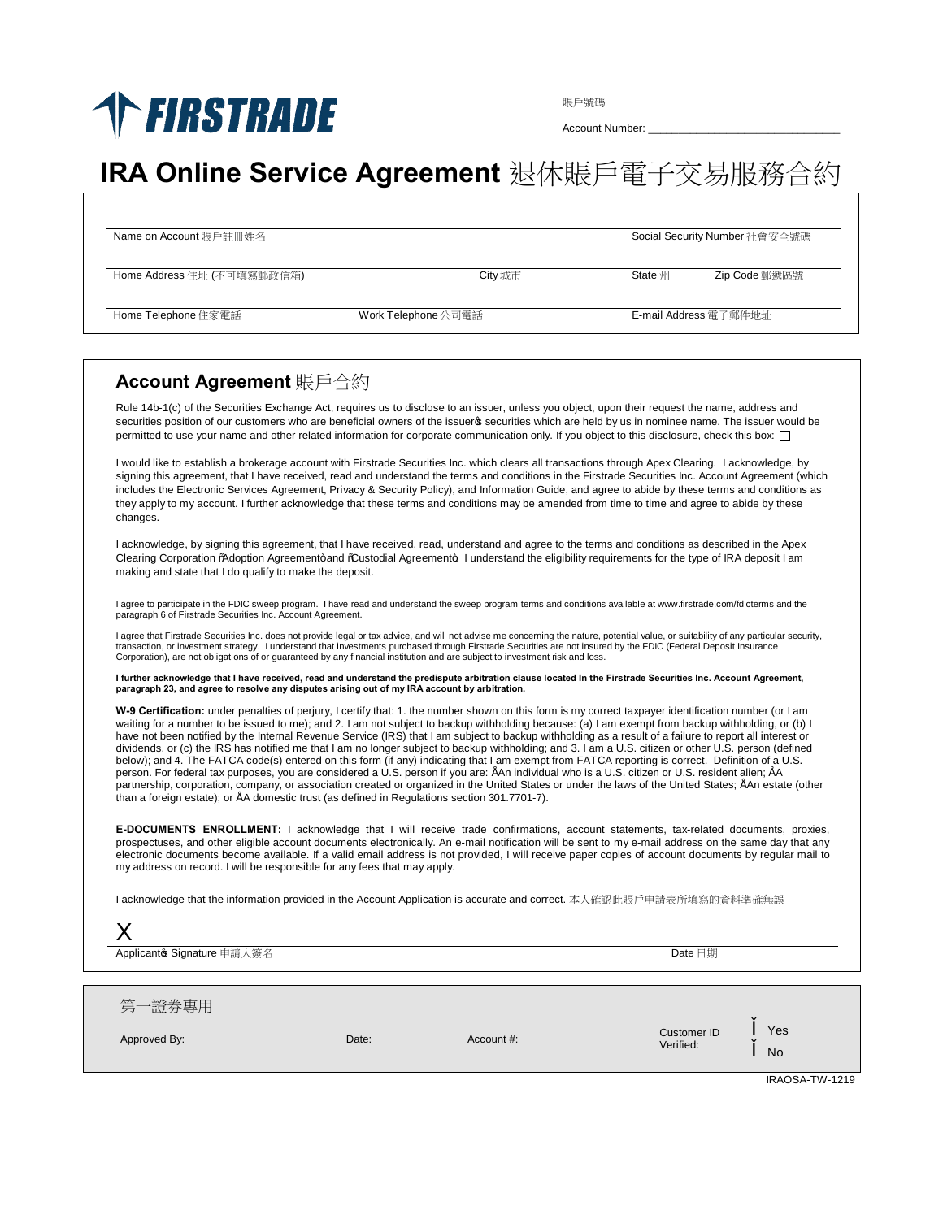## **THESTRADE**

賬戶號碼

Account Number:

## **IRA Online Service Agreement** 退休賬戶電子交易服務合約

| Name on Account 賬戶註冊姓名     | Social Security Number 社會安全號碼 |                       |               |
|----------------------------|-------------------------------|-----------------------|---------------|
| Home Address 住址 (不可填寫郵政信箱) | City 城市                       | <b>State</b> 州        | Zip Code 郵遞區號 |
| Home Telephone 住家電話        | Work Telephone 公司電話           | E-mail Address 電子郵件地址 |               |

## **Account Agreement** 賬戶合約

X

Rule 14b-1(c) of the Securities Exchange Act, requires us to disclose to an issuer, unless you object, upon their request the name, address and securities position of our customers who are beneficial owners of the issuero securities which are held by us in nominee name. The issuer would be permitted to use your name and other related information for corporate communication only. If you object to this disclosure, check this box:

I would like to establish a brokerage account with Firstrade Securities Inc. which clears all transactions through Apex Clearing. I acknowledge, by signing this agreement, that I have received, read and understand the terms and conditions in the Firstrade Securities Inc. Account Agreement (which includes the Electronic Services Agreement, Privacy & Security Policy), and Information Guide, and agree to abide by these terms and conditions as they apply to my account. I further acknowledge that these terms and conditions may be amended from time to time and agree to abide by these changes.

I acknowledge, by signing this agreement, that I have received, read, understand and agree to the terms and conditions as described in the Apex Clearing Corporation % doption Agreement+ and % ustodial Agreement+. I understand the eligibility requirements for the type of IRA deposit I am making and state that I do qualify to make the deposit.

l agree to participate in the FDIC sweep program. I have read and understand the sweep program terms and conditions available at <u>www.firstrade.com/fdicterms</u> and the<br>paragraph 6 of Firstrade Securities Inc. Account Agreem

l agree that Firstrade Securities Inc. does not provide legal or tax advice, and will not advise me concerning the nature, potential value, or suitability of any particular security,<br>transaction, or investment strategy. I Corporation), are not obligations of or guaranteed by any financial institution and are subject to investment risk and loss.

**I further acknowledge that I have received, read and understand the predispute arbitration clause located In the Firstrade Securities Inc. Account Agreement, paragraph 23, and agree to resolve any disputes arising out of my IRA account by arbitration.**

**W-9 Certification:** under penalties of perjury, I certify that: 1. the number shown on this form is my correct taxpayer identification number (or I am waiting for a number to be issued to me); and 2. I am not subject to backup withholding because: (a) I am exempt from backup withholding, or (b) I have not been notified by the Internal Revenue Service (IRS) that I am subject to backup withholding as a result of a failure to report all interest or dividends, or (c) the IRS has notified me that I am no longer subject to backup withholding; and 3. I am a U.S. citizen or other U.S. person (defined<br>below); and 4. The FATCA code(s) entered on this form (if any) indicatin person. For federal tax purposes, you are considered a U.S. person if you are: "An individual who is a U.S. citizen or U.S. resident alien; "A partnership, corporation, company, or association created or organized in the United States or under the laws of the United States; "An estate (other than a foreign estate); or "A domestic trust (as defined in Regulations section 301.7701-7).

**E-DOCUMENTS ENROLLMENT:** I acknowledge that I will receive trade confirmations, account statements, tax-related documents, proxies, prospectuses, and other eligible account documents electronically. An e-mail notification will be sent to my e-mail address on the same day that any electronic documents become available. If a valid email address is not provided, I will receive paper copies of account documents by regular mail to my address on record. I will be responsible for any fees that may apply.

I acknowledge that the information provided in the Account Application is accurate and correct. 本人確認此賬戶申請表所填寫的資料準確無誤

| $\overline{\phantom{a}}$<br>Applicantos Signature 申請人簽名 |       |            | Date 日期                  |                  |
|---------------------------------------------------------|-------|------------|--------------------------|------------------|
| 第一證券專用<br>Approved By:                                  | Date: | Account #: | Customer ID<br>Verified: | Yes<br><b>No</b> |

IRAOSA-TW-1219